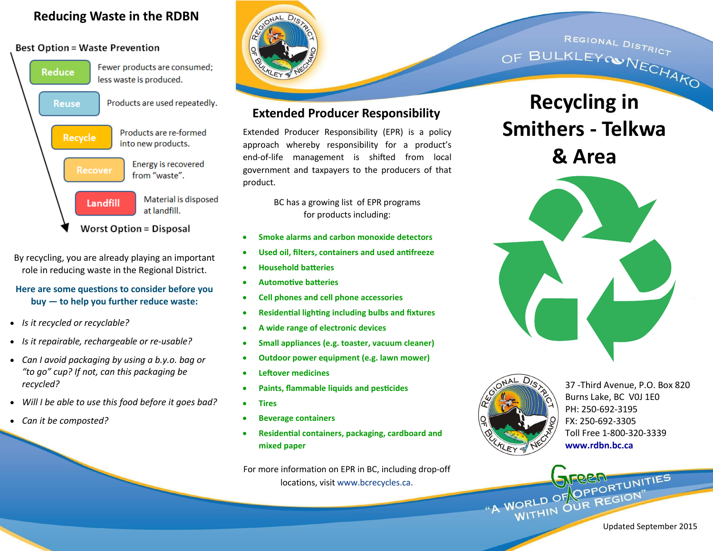# **Reducing Waste in the RDBN**

#### **Best Option = Waste Prevention**



By recycling, you are already playing an important role in reducing waste in the Regional District.

#### **Here are some questions to consider before you buy — to help you further reduce waste:**

- *Is it recycled or recyclable?*
- *Is it repairable, rechargeable or re-usable?*
- *Can I avoid packaging by using a b.y.o. bag or "to go" cup? If not, can this packaging be recycled?*
- *Will I be able to use this food before it goes bad?*
- *Can it be composted?*



# **Extended Producer Responsibility**

Extended Producer Responsibility (EPR) is a policy approach whereby responsibility for a product's end-of-life management is shifted from local government and taxpayers to the producers of that product.

> BC has a growing list of EPR programs for products including:

- **Smoke alarms and carbon monoxide detectors**
- **Used oil, filters, containers and used antifreeze**
- **Household batteries**
- **Automotive batteries**
- **Cell phones and cell phone accessories**
- **Residential lighting including bulbs and fixtures**
- **A wide range of electronic devices**
- **Small appliances (e.g. toaster, vacuum cleaner)**
- **Outdoor power equipment (e.g. lawn mower)**
- **Leftover medicines**
- **Paints, flammable liquids and pesticides**
- **Tires**
- **[Beverage containers](http://www.rcbc.ca/recycling-programs/epr/programs#encorp)**
- **Residential containers, packaging, cardboard and mixed paper**

For more information on EPR in BC, including drop-off locations, visit www.bcrecycles.ca.

REGIONAL DISTRICT REGIONAL DISTRICT<br>OF BULKLEYOWNECHAKO

# **Recycling in Smithers - Telkwa & Area**





37 -Third Avenue, P.O. Box 820 Burns Lake, BC V0J 1E0 PH: 250-692-3195 FX: 250-692-3305 Toll Free 1-800-320-3339 **www.rdbn.bc.ca**